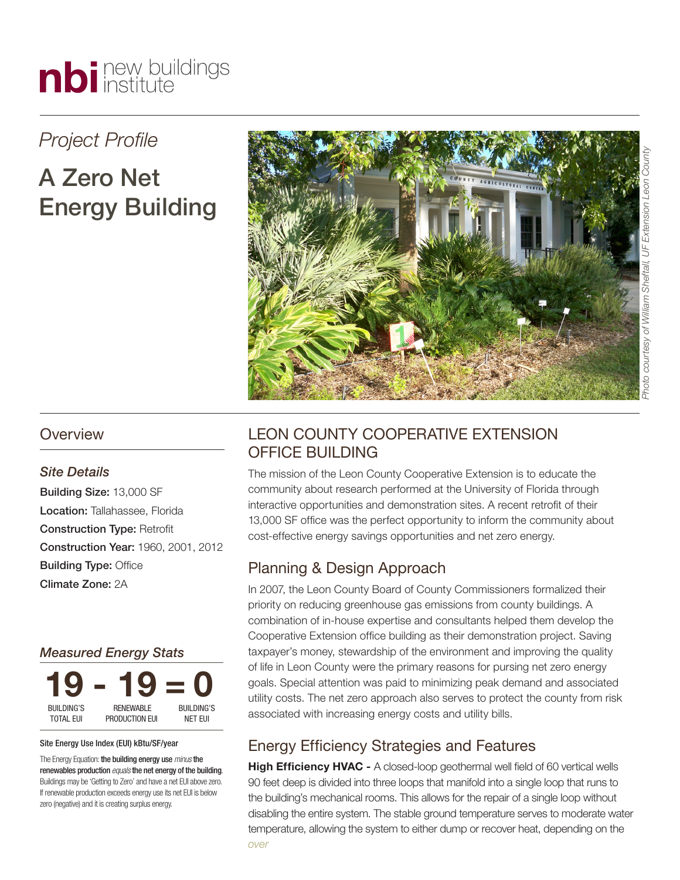

## *Project Profile*

# A Zero Net Energy Building



#### **Overview**

#### *Site Details*

Building Size: 13,000 SF Location: Tallahassee, Florida Construction Type: Retrofit Construction Year: 1960, 2001, 2012 Building Type: Office Climate Zone: 2A

#### *Measured Energy Stats*



#### Site Energy Use Index (EUI) kBtu/SF/year

The Energy Equation: the building energy use *minus*the renewables production *equals*the net energy of the building. Buildings may be 'Getting to Zero' and have a net EUI above zero. If renewable production exceeds energy use its net EUI is below zero (negative) and it is creating surplus energy.

### LEON COUNTY COOPERATIVE EXTENSION OFFICE BUILDING

The mission of the Leon County Cooperative Extension is to educate the community about research performed at the University of Florida through interactive opportunities and demonstration sites. A recent retrofit of their 13,000 SF office was the perfect opportunity to inform the community about cost-effective energy savings opportunities and net zero energy.

#### Planning & Design Approach

In 2007, the Leon County Board of County Commissioners formalized their priority on reducing greenhouse gas emissions from county buildings. A combination of in-house expertise and consultants helped them develop the Cooperative Extension office building as their demonstration project. Saving taxpayer's money, stewardship of the environment and improving the quality of life in Leon County were the primary reasons for pursing net zero energy goals. Special attention was paid to minimizing peak demand and associated utility costs. The net zero approach also serves to protect the county from risk associated with increasing energy costs and utility bills.

#### Energy Efficiency Strategies and Features

**High Efficiency HVAC -** A closed-loop geothermal well field of 60 vertical wells 90 feet deep is divided into three loops that manifold into a single loop that runs to the building's mechanical rooms. This allows for the repair of a single loop without disabling the entire system. The stable ground temperature serves to moderate water temperature, allowing the system to either dump or recover heat, depending on the *over*